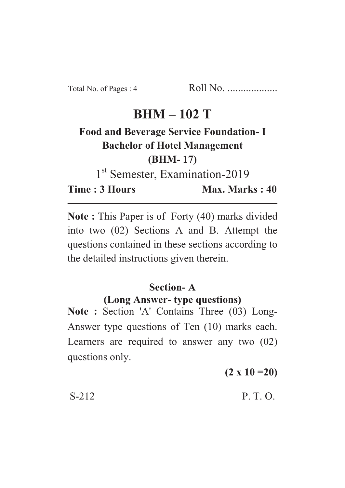## **BHM – 102 T**

# **Food and Beverage Service Foundation- I Bachelor of Hotel Management (BHM- 17)**

1<sup>st</sup> Semester, Examination-2019

**Time : 3 Hours Max. Marks : 40** 

**Note :** This Paper is of Forty (40) marks divided into two (02) Sections A and B. Attempt the questions contained in these sections according to the detailed instructions given therein.

### **Section- A**

#### **(Long Answer- type questions)**

**Note :** Section 'A' Contains Three (03) Long-Answer type questions of Ten (10) marks each. Learners are required to answer any two (02) questions only.

**(2 x 10 =20)**

S-212 P. T. O.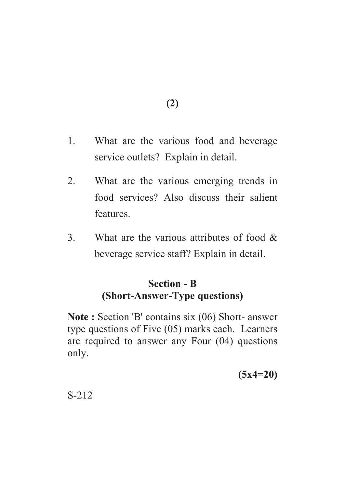**(2)**

- 1. What are the various food and beverage service outlets? Explain in detail.
- 2. What are the various emerging trends in food services? Also discuss their salient features.
- 3. What are the various attributes of food & beverage service staff? Explain in detail.

### **Section - B (Short-Answer-Type questions)**

**Note :** Section 'B' contains six (06) Short- answer type questions of Five (05) marks each. Learners are required to answer any Four (04) questions only.

**(5x4=20)**

S-212